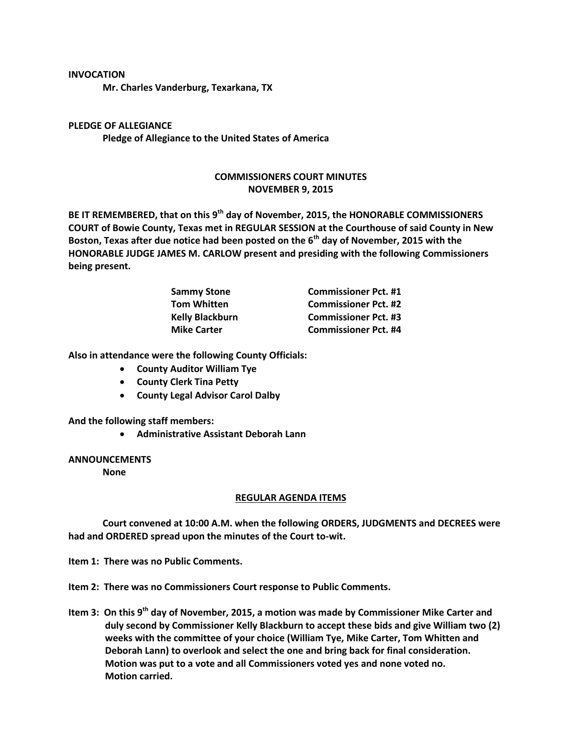## **INVOCATION**

**Mr. Charles Vanderburg, Texarkana, TX**

**PLEDGE OF ALLEGIANCE Pledge of Allegiance to the United States of America**

## **COMMISSIONERS COURT MINUTES NOVEMBER 9, 2015**

**BE IT REMEMBERED, that on this 9th day of November, 2015, the HONORABLE COMMISSIONERS COURT of Bowie County, Texas met in REGULAR SESSION at the Courthouse of said County in New Boston, Texas after due notice had been posted on the 6th day of November, 2015 with the HONORABLE JUDGE JAMES M. CARLOW present and presiding with the following Commissioners being present.**

| <b>Sammy Stone</b>     | <b>Commissioner Pct. #1</b> |
|------------------------|-----------------------------|
| <b>Tom Whitten</b>     | <b>Commissioner Pct. #2</b> |
| <b>Kelly Blackburn</b> | <b>Commissioner Pct. #3</b> |
| <b>Mike Carter</b>     | <b>Commissioner Pct. #4</b> |

**Also in attendance were the following County Officials:**

- **County Auditor William Tye**
- **County Clerk Tina Petty**
- **County Legal Advisor Carol Dalby**

**And the following staff members:**

**Administrative Assistant Deborah Lann**

## **ANNOUNCEMENTS**

**None**

## **REGULAR AGENDA ITEMS**

**Court convened at 10:00 A.M. when the following ORDERS, JUDGMENTS and DECREES were had and ORDERED spread upon the minutes of the Court to-wit.**

**Item 1: There was no Public Comments.**

**Item 2: There was no Commissioners Court response to Public Comments.**

Item 3: On this 9<sup>th</sup> day of November, 2015, a motion was made by Commissioner Mike Carter and **duly second by Commissioner Kelly Blackburn to accept these bids and give William two (2) weeks with the committee of your choice (William Tye, Mike Carter, Tom Whitten and Deborah Lann) to overlook and select the one and bring back for final consideration. Motion was put to a vote and all Commissioners voted yes and none voted no. Motion carried.**